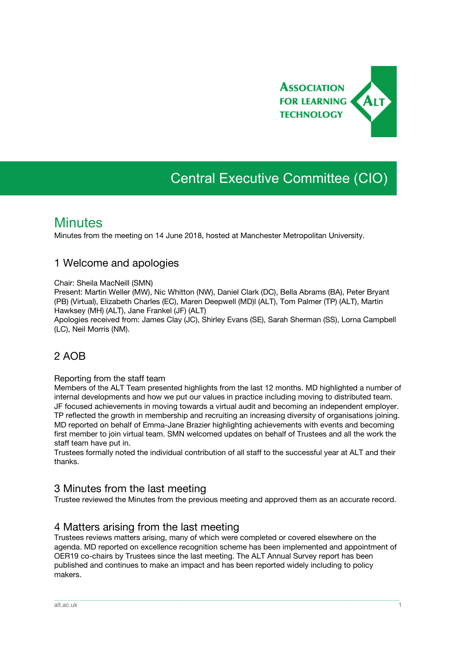

# Central Executive Committee (CIO)

## **Minutes**

Minutes from the meeting on 14 June 2018, hosted at Manchester Metropolitan University.

### 1 Welcome and apologies

Chair: Sheila MacNeill (SMN)

Present: Martin Weller (MW), Nic Whitton (NW), Daniel Clark (DC), Bella Abrams (BA), Peter Bryant (PB) (Virtual), Elizabeth Charles (EC), Maren Deepwell (MD)l (ALT), Tom Palmer (TP) (ALT), Martin Hawksey (MH) (ALT), Jane Frankel (JF) (ALT)

Apologies received from: James Clay (JC), Shirley Evans (SE), Sarah Sherman (SS), Lorna Campbell (LC), Neil Morris (NM).

### 2 AOB

#### Reporting from the staff team

Members of the ALT Team presented highlights from the last 12 months. MD highlighted a number of internal developments and how we put our values in practice including moving to distributed team. JF focused achievements in moving towards a virtual audit and becoming an independent employer. TP reflected the growth in membership and recruiting an increasing diversity of organisations joining. MD reported on behalf of Emma-Jane Brazier highlighting achievements with events and becoming first member to join virtual team. SMN welcomed updates on behalf of Trustees and all the work the staff team have put in.

Trustees formally noted the individual contribution of all staff to the successful year at ALT and their thanks.

### 3 Minutes from the last meeting

Trustee reviewed the Minutes from the previous meeting and approved them as an accurate record.

### 4 Matters arising from the last meeting

Trustees reviews matters arising, many of which were completed or covered elsewhere on the agenda. MD reported on excellence recognition scheme has been implemented and appointment of OER19 co-chairs by Trustees since the last meeting. The ALT Annual Survey report has been published and continues to make an impact and has been reported widely including to policy makers.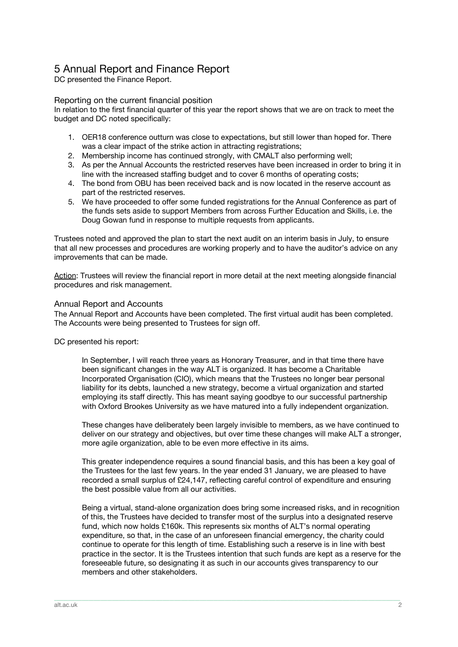### 5 Annual Report and Finance Report

DC presented the Finance Report.

#### Reporting on the current financial position

In relation to the first financial quarter of this year the report shows that we are on track to meet the budget and DC noted specifically:

- 1. OER18 conference outturn was close to expectations, but still lower than hoped for. There was a clear impact of the strike action in attracting registrations;
- 2. Membership income has continued strongly, with CMALT also performing well;
- 3. As per the Annual Accounts the restricted reserves have been increased in order to bring it in line with the increased staffing budget and to cover 6 months of operating costs;
- 4. The bond from OBU has been received back and is now located in the reserve account as part of the restricted reserves.
- 5. We have proceeded to offer some funded registrations for the Annual Conference as part of the funds sets aside to support Members from across Further Education and Skills, i.e. the Doug Gowan fund in response to multiple requests from applicants.

Trustees noted and approved the plan to start the next audit on an interim basis in July, to ensure that all new processes and procedures are working properly and to have the auditor's advice on any improvements that can be made.

Action: Trustees will review the financial report in more detail at the next meeting alongside financial procedures and risk management.

#### Annual Report and Accounts

The Annual Report and Accounts have been completed. The first virtual audit has been completed. The Accounts were being presented to Trustees for sign off.

DC presented his report:

In September, I will reach three years as Honorary Treasurer, and in that time there have been significant changes in the way ALT is organized. It has become a Charitable Incorporated Organisation (CIO), which means that the Trustees no longer bear personal liability for its debts, launched a new strategy, become a virtual organization and started employing its staff directly. This has meant saying goodbye to our successful partnership with Oxford Brookes University as we have matured into a fully independent organization.

These changes have deliberately been largely invisible to members, as we have continued to deliver on our strategy and objectives, but over time these changes will make ALT a stronger, more agile organization, able to be even more effective in its aims.

This greater independence requires a sound financial basis, and this has been a key goal of the Trustees for the last few years. In the year ended 31 January, we are pleased to have recorded a small surplus of £24,147, reflecting careful control of expenditure and ensuring the best possible value from all our activities.

Being a virtual, stand-alone organization does bring some increased risks, and in recognition of this, the Trustees have decided to transfer most of the surplus into a designated reserve fund, which now holds £160k. This represents six months of ALT's normal operating expenditure, so that, in the case of an unforeseen financial emergency, the charity could continue to operate for this length of time. Establishing such a reserve is in line with best practice in the sector. It is the Trustees intention that such funds are kept as a reserve for the foreseeable future, so designating it as such in our accounts gives transparency to our members and other stakeholders.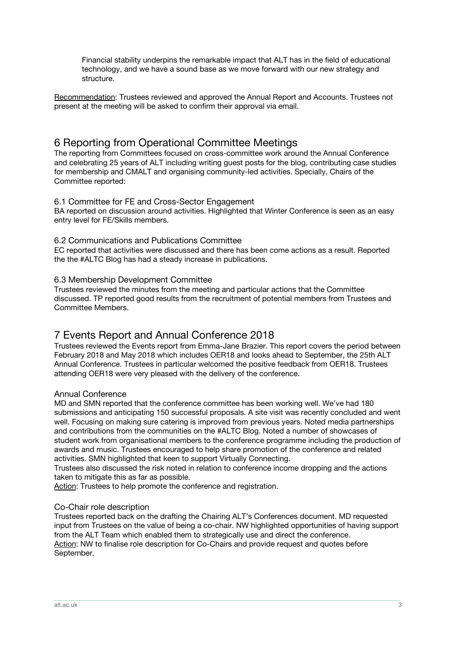Financial stability underpins the remarkable impact that ALT has in the field of educational technology, and we have a sound base as we move forward with our new strategy and structure.

Recommendation: Trustees reviewed and approved the Annual Report and Accounts. Trustees not present at the meeting will be asked to confirm their approval via email.

### 6 Reporting from Operational Committee Meetings

The reporting from Committees focused on cross-committee work around the Annual Conference and celebrating 25 years of ALT including writing guest posts for the blog, contributing case studies for membership and CMALT and organising community-led activities. Specially, Chairs of the Committee reported:

#### 6.1 Committee for FE and Cross-Sector Engagement

BA reported on discussion around activities. Highlighted that Winter Conference is seen as an easy entry level for FE/Skills members.

#### 6.2 Communications and Publications Committee

EC reported that activities were discussed and there has been come actions as a result. Reported the the #ALTC Blog has had a steady increase in publications.

#### 6.3 Membership Development Committee

Trustees reviewed the minutes from the meeting and particular actions that the Committee discussed. TP reported good results from the recruitment of potential members from Trustees and Committee Members.

### 7 Events Report and Annual Conference 2018

Trustees reviewed the Events report from Emma-Jane Brazier. This report covers the period between February 2018 and May 2018 which includes OER18 and looks ahead to September, the 25th ALT Annual Conference. Trustees in particular welcomed the positive feedback from OER18. Trustees attending OER18 were very pleased with the delivery of the conference.

#### Annual Conference

MD and SMN reported that the conference committee has been working well. We've had 180 submissions and anticipating 150 successful proposals. A site visit was recently concluded and went well. Focusing on making sure catering is improved from previous years. Noted media partnerships and contributions from the communities on the #ALTC Blog. Noted a number of showcases of student work from organisational members to the conference programme including the production of awards and music. Trustees encouraged to help share promotion of the conference and related activities. SMN highlighted that keen to support Virtually Connecting.

Trustees also discussed the risk noted in relation to conference income dropping and the actions taken to mitigate this as far as possible.

Action: Trustees to help promote the conference and registration.

#### Co-Chair role description

Trustees reported back on the drafting the Chairing ALT's Conferences document. MD requested input from Trustees on the value of being a co-chair. NW highlighted opportunities of having support from the ALT Team which enabled them to strategically use and direct the conference. Action: NW to finalise role description for Co-Chairs and provide request and quotes before September.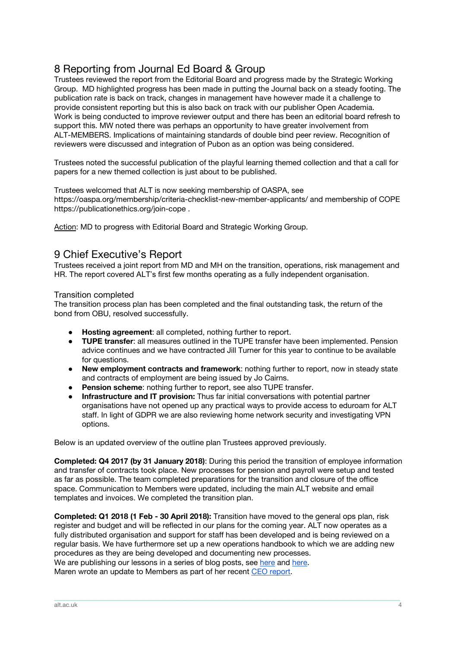### 8 Reporting from Journal Ed Board & Group

Trustees reviewed the report from the Editorial Board and progress made by the Strategic Working Group. MD highlighted progress has been made in putting the Journal back on a steady footing. The publication rate is back on track, changes in management have however made it a challenge to provide consistent reporting but this is also back on track with our publisher Open Academia. Work is being conducted to improve reviewer output and there has been an editorial board refresh to support this. MW noted there was perhaps an opportunity to have greater involvement from ALT-MEMBERS. Implications of maintaining standards of double bind peer review. Recognition of reviewers were discussed and integration of Pubon as an option was being considered.

Trustees noted the successful publication of the playful learning themed collection and that a call for papers for a new themed collection is just about to be published.

Trustees welcomed that ALT is now seeking membership of OASPA, see https://oaspa.org/membership/criteria-checklist-new-member-applicants/ and membership of COPE https://publicationethics.org/join-cope .

Action: MD to progress with Editorial Board and Strategic Working Group.

### 9 Chief Executive's Report

Trustees received a joint report from MD and MH on the transition, operations, risk management and HR. The report covered ALT's first few months operating as a fully independent organisation.

#### Transition completed

The transition process plan has been completed and the final outstanding task, the return of the bond from OBU, resolved successfully.

- **Hosting agreement:** all completed, nothing further to report.
- **TUPE transfer**: all measures outlined in the TUPE transfer have been implemented. Pension advice continues and we have contracted Jill Turner for this year to continue to be available for questions.
- **New employment contracts and framework**: nothing further to report, now in steady state and contracts of employment are being issued by Jo Cairns.
- **Pension scheme**: nothing further to report, see also TUPE transfer.
- **Infrastructure and IT provision:** Thus far initial conversations with potential partner organisations have not opened up any practical ways to provide access to eduroam for ALT staff. In light of GDPR we are also reviewing home network security and investigating VPN options.

Below is an updated overview of the outline plan Trustees approved previously.

**Completed: Q4 2017 (by 31 January 2018)**: During this period the transition of employee information and transfer of contracts took place. New processes for pension and payroll were setup and tested as far as possible. The team completed preparations for the transition and closure of the office space. Communication to Members were updated, including the main ALT website and email templates and invoices. We completed the transition plan.

**Completed: Q1 2018 (1 Feb - 30 April 2018):** Transition have moved to the general ops plan, risk register and budget and will be reflected in our plans for the coming year. ALT now operates as a fully distributed organisation and support for staff has been developed and is being reviewed on a regular basis. We have furthermore set up a new operations handbook to which we are adding new procedures as they are being developed and documenting new processes. We are publishing our lessons in a series of blog posts, see [here](http://marendeepwell.com/category/jointposts/) and here.

\_\_\_\_\_\_\_\_\_\_\_\_\_\_\_\_\_\_\_\_\_\_\_\_\_\_\_\_\_\_\_\_\_\_\_\_\_\_\_\_\_\_\_\_\_\_\_\_\_\_\_\_\_\_\_\_\_\_\_\_\_\_\_\_\_\_\_\_\_\_\_\_\_\_\_\_\_\_\_\_\_\_\_\_\_\_\_\_\_\_\_\_\_\_\_\_\_\_\_\_\_\_\_\_\_\_\_\_\_\_\_\_\_\_\_\_\_\_\_\_\_\_\_\_\_\_\_\_\_\_\_\_\_\_\_\_\_\_\_\_\_\_\_\_\_\_\_\_\_\_

Maren wrote an update to Members as part of her recent CEO [report](https://altc.alt.ac.uk/blog/2018/05/chief-executive-officers-report-may-2018/).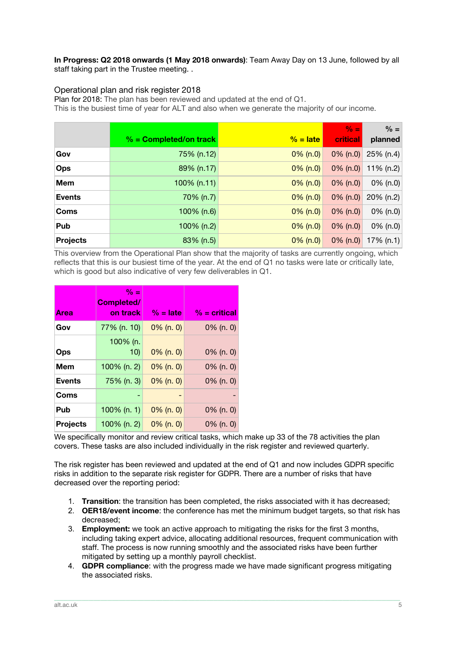**In Progress: Q2 2018 onwards (1 May 2018 onwards)**: Team Away Day on 13 June, followed by all staff taking part in the Trustee meeting. .

#### Operational plan and risk register 2018

Plan for 2018: The plan has been reviewed and updated at the end of Q1.

This is the busiest time of year for ALT and also when we generate the majority of our income.

|               |                          |             | $\frac{9}{6}$ = | $% =$        |
|---------------|--------------------------|-------------|-----------------|--------------|
|               | $% =$ Completed/on track | $\%$ = late | <b>critical</b> | planned      |
| Gov           | 75% (n.12)               | $0\%$ (n.0) | $0\%$ (n.0)     | 25% (n.4)    |
| <b>Ops</b>    | 89% (n.17)               | $0\%$ (n.0) | $0\%$ (n.0)     | 11% (n.2)    |
| <b>Mem</b>    | $100\%$ (n.11)           | $0\%$ (n.0) | $0\%$ (n.0)     | 0% (n.0)     |
| <b>Events</b> | 70% (n.7)                | $0\%$ (n.0) | $0\%$ (n.0)     | $20\%$ (n.2) |
| <b>Coms</b>   | 100% (n.6)               | $0\%$ (n.0) | $0\%$ (n.0)     | 0% (n.0)     |
| Pub           | 100% (n.2)               | $0\%$ (n.0) | $0\%$ (n.0)     | 0% (n.0)     |
| Projects      | 83% (n.5)                | $0\%$ (n.0) | $0\%$ (n.0)     | 17% $(n.1)$  |

This overview from the Operational Plan show that the majority of tasks are currently ongoing, which reflects that this is our busiest time of the year. At the end of Q1 no tasks were late or critically late, which is good but also indicative of very few deliverables in Q1.

| <b>Area</b>     | $\% =$<br>Completed/<br>on track | $\%$ = late  | $% =$ critical |
|-----------------|----------------------------------|--------------|----------------|
| Gov             | 77% (n. 10)                      | $0\%$ (n. 0) | $0\%$ (n. 0)   |
| Ops             | 100% (n.<br>10)                  | $0\%$ (n. 0) | $0\%$ (n. 0)   |
| Mem             | 100% (n. 2)                      | $0\%$ (n. 0) | $0\%$ (n. 0)   |
| <b>Events</b>   | 75% (n. 3)                       | $0\%$ (n. 0) | $0\%$ (n. 0)   |
| Coms            |                                  |              |                |
| Pub             | $100\%$ (n. 1)                   | $0\%$ (n. 0) | $0\%$ (n. 0)   |
| <b>Projects</b> | 100% (n. 2)                      | $0\%$ (n. 0) | $0\%$ (n. 0)   |

We specifically monitor and review critical tasks, which make up 33 of the 78 activities the plan covers. These tasks are also included individually in the risk register and reviewed quarterly.

The risk register has been reviewed and updated at the end of Q1 and now includes GDPR specific risks in addition to the separate risk register for GDPR. There are a number of risks that have decreased over the reporting period:

- 1. **Transition**: the transition has been completed, the risks associated with it has decreased;
- 2. **OER18/event income**: the conference has met the minimum budget targets, so that risk has decreased;
- 3. **Employment:** we took an active approach to mitigating the risks for the first 3 months, including taking expert advice, allocating additional resources, frequent communication with staff. The process is now running smoothly and the associated risks have been further mitigated by setting up a monthly payroll checklist.
- 4. **GDPR compliance**: with the progress made we have made significant progress mitigating the associated risks.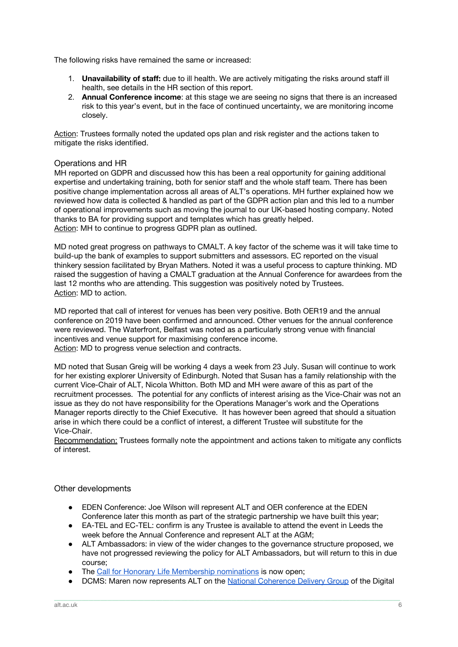The following risks have remained the same or increased:

- 1. **Unavailability of staff:** due to ill health. We are actively mitigating the risks around staff ill health, see details in the HR section of this report.
- 2. **Annual Conference income**: at this stage we are seeing no signs that there is an increased risk to this year's event, but in the face of continued uncertainty, we are monitoring income closely.

Action: Trustees formally noted the updated ops plan and risk register and the actions taken to mitigate the risks identified.

#### Operations and HR

MH reported on GDPR and discussed how this has been a real opportunity for gaining additional expertise and undertaking training, both for senior staff and the whole staff team. There has been positive change implementation across all areas of ALT's operations. MH further explained how we reviewed how data is collected & handled as part of the GDPR action plan and this led to a number of operational improvements such as moving the journal to our UK-based hosting company. Noted thanks to BA for providing support and templates which has greatly helped. Action: MH to continue to progress GDPR plan as outlined.

MD noted great progress on pathways to CMALT. A key factor of the scheme was it will take time to build-up the bank of examples to support submitters and assessors. EC reported on the visual thinkery session facilitated by Bryan Mathers. Noted it was a useful process to capture thinking. MD raised the suggestion of having a CMALT graduation at the Annual Conference for awardees from the last 12 months who are attending. This suggestion was positively noted by Trustees. Action: MD to action.

MD reported that call of interest for venues has been very positive. Both OER19 and the annual conference on 2019 have been confirmed and announced. Other venues for the annual conference were reviewed. The Waterfront, Belfast was noted as a particularly strong venue with financial incentives and venue support for maximising conference income. Action: MD to progress venue selection and contracts.

MD noted that Susan Greig will be working 4 days a week from 23 July. Susan will continue to work for her existing explorer University of Edinburgh. Noted that Susan has a family relationship with the current Vice-Chair of ALT, Nicola Whitton. Both MD and MH were aware of this as part of the recruitment processes. The potential for any conflicts of interest arising as the Vice-Chair was not an issue as they do not have responsibility for the Operations Manager's work and the Operations Manager reports directly to the Chief Executive. It has however been agreed that should a situation arise in which there could be a conflict of interest, a different Trustee will substitute for the Vice-Chair.

Recommendation: Trustees formally note the appointment and actions taken to mitigate any conflicts of interest.

#### Other developments

- EDEN Conference: Joe Wilson will represent ALT and OER conference at the EDEN Conference later this month as part of the strategic partnership we have built this year;
- EA-TEL and EC-TEL: confirm is any Trustee is available to attend the event in Leeds the week before the Annual Conference and represent ALT at the AGM;
- ALT Ambassadors: in view of the wider changes to the governance structure proposed, we have not progressed reviewing the policy for ALT Ambassadors, but will return to this in due course;
- The Call for Honorary Life [Membership](https://www.alt.ac.uk/news/all_news/2018-call-nominations-honorary-life-membership) nominations is now open:
- DCMS: Maren now represents ALT on the National [Coherence](https://digitalskillspartnership.blog.gov.uk/2018/01/26/the-national-coherence-delivery-group/) Delivery Group of the Digital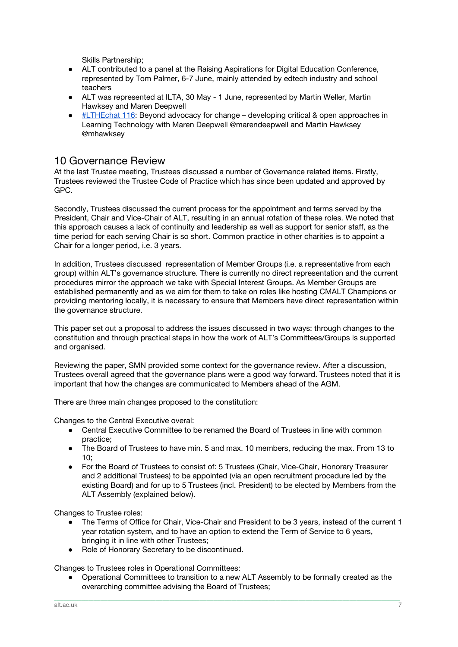Skills Partnership;

- ALT contributed to a panel at the Raising Aspirations for Digital Education Conference, represented by Tom Palmer, 6-7 June, mainly attended by edtech industry and school teachers
- ALT was represented at ILTA, 30 May 1 June, represented by Martin Weller, Martin Hawksey and Maren Deepwell
- [#LTHEchat](https://lthechat.com/2018/06/01/lthechat-116-beyond-advocacy-for-change-developing-critical-open-approaches-in-learning-technology-with-maren-deepwell-marendeepwell-and-martin-hawksey-mhawksey/) 116: Beyond advocacy for change developing critical & open approaches in Learning Technology with Maren Deepwell @marendeepwell and Martin Hawksey @mhawksey

### 10 Governance Review

At the last Trustee meeting, Trustees discussed a number of Governance related items. Firstly, Trustees reviewed the Trustee Code of Practice which has since been updated and approved by GPC.

Secondly, Trustees discussed the current process for the appointment and terms served by the President, Chair and Vice-Chair of ALT, resulting in an annual rotation of these roles. We noted that this approach causes a lack of continuity and leadership as well as support for senior staff, as the time period for each serving Chair is so short. Common practice in other charities is to appoint a Chair for a longer period, i.e. 3 years.

In addition, Trustees discussed representation of Member Groups (i.e. a representative from each group) within ALT's governance structure. There is currently no direct representation and the current procedures mirror the approach we take with Special Interest Groups. As Member Groups are established permanently and as we aim for them to take on roles like hosting CMALT Champions or providing mentoring locally, it is necessary to ensure that Members have direct representation within the governance structure.

This paper set out a proposal to address the issues discussed in two ways: through changes to the constitution and through practical steps in how the work of ALT's Committees/Groups is supported and organised.

Reviewing the paper, SMN provided some context for the governance review. After a discussion, Trustees overall agreed that the governance plans were a good way forward. Trustees noted that it is important that how the changes are communicated to Members ahead of the AGM.

There are three main changes proposed to the constitution:

Changes to the Central Executive overal:

- Central Executive Committee to be renamed the Board of Trustees in line with common practice;
- The Board of Trustees to have min. 5 and max. 10 members, reducing the max. From 13 to 10;
- For the Board of Trustees to consist of: 5 Trustees (Chair, Vice-Chair, Honorary Treasurer and 2 additional Trustees) to be appointed (via an open recruitment procedure led by the existing Board) and for up to 5 Trustees (incl. President) to be elected by Members from the ALT Assembly (explained below).

Changes to Trustee roles:

- The Terms of Office for Chair, Vice-Chair and President to be 3 years, instead of the current 1 year rotation system, and to have an option to extend the Term of Service to 6 years, bringing it in line with other Trustees;
- Role of Honorary Secretary to be discontinued.

Changes to Trustees roles in Operational Committees:

Operational Committees to transition to a new ALT Assembly to be formally created as the overarching committee advising the Board of Trustees;